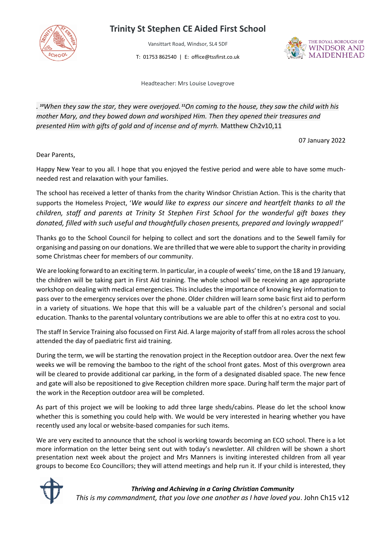# **Trinity St Stephen CE Aided First School**



Vansittart Road, Windsor, SL4 5DF

T: 01753 862540 | E: office@tssfirst.co.uk



Headteacher: Mrs Louise Lovegrove

*. <sup>10</sup>When they saw the star, they were overjoyed. <sup>11</sup>On coming to the house, they saw the child with his mother Mary, and they bowed down and worshiped Him. Then they opened their treasures and presented Him with gifts of gold and of incense and of myrrh.* Matthew Ch2v10,11

07 January 2022

Dear Parents,

Happy New Year to you all. I hope that you enjoyed the festive period and were able to have some muchneeded rest and relaxation with your families.

The school has received a letter of thanks from the charity Windsor Christian Action. This is the charity that supports the Homeless Project, '*We would like to express our sincere and heartfelt thanks to all the children, staff and parents at Trinity St Stephen First School for the wonderful gift boxes they donated, filled with such useful and thoughtfully chosen presents, prepared and lovingly wrapped!*'

Thanks go to the School Council for helping to collect and sort the donations and to the Sewell family for organising and passing on our donations. We are thrilled that we were able to support the charity in providing some Christmas cheer for members of our community.

We are looking forward to an exciting term. In particular, in a couple of weeks' time, on the 18 and 19 January, the children will be taking part in First Aid training. The whole school will be receiving an age appropriate workshop on dealing with medical emergencies. This includes the importance of knowing key information to pass over to the emergency services over the phone. Older children will learn some basic first aid to perform in a variety of situations. We hope that this will be a valuable part of the children's personal and social education. Thanks to the parental voluntary contributions we are able to offer this at no extra cost to you.

The staff In Service Training also focussed on First Aid. A large majority of staff from all roles across the school attended the day of paediatric first aid training.

During the term, we will be starting the renovation project in the Reception outdoor area. Over the next few weeks we will be removing the bamboo to the right of the school front gates. Most of this overgrown area will be cleared to provide additional car parking, in the form of a designated disabled space. The new fence and gate will also be repositioned to give Reception children more space. During half term the major part of the work in the Reception outdoor area will be completed.

As part of this project we will be looking to add three large sheds/cabins. Please do let the school know whether this is something you could help with. We would be very interested in hearing whether you have recently used any local or website-based companies for such items.

We are very excited to announce that the school is working towards becoming an ECO school. There is a lot more information on the letter being sent out with today's newsletter. All children will be shown a short presentation next week about the project and Mrs Manners is inviting interested children from all year groups to become Eco Councillors; they will attend meetings and help run it. If your child is interested, they



#### *Thriving and Achieving in a Caring Christian Community*

*This is my commandment, that you love one another as I have loved you*. John Ch15 v12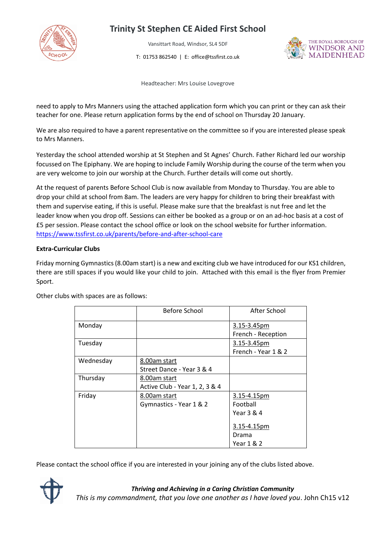

# **Trinity St Stephen CE Aided First School**

Vansittart Road, Windsor, SL4 5DF

T: 01753 862540 | E: office@tssfirst.co.uk



Headteacher: Mrs Louise Lovegrove

need to apply to Mrs Manners using the attached application form which you can print or they can ask their teacher for one. Please return application forms by the end of school on Thursday 20 January.

We are also required to have a parent representative on the committee so if you are interested please speak to Mrs Manners.

Yesterday the school attended worship at St Stephen and St Agnes' Church. Father Richard led our worship focussed on The Epiphany. We are hoping to include Family Worship during the course of the term when you are very welcome to join our worship at the Church. Further details will come out shortly.

At the request of parents Before School Club is now available from Monday to Thursday. You are able to drop your child at school from 8am. The leaders are very happy for children to bring their breakfast with them and supervise eating, if this is useful. Please make sure that the breakfast is nut free and let the leader know when you drop off. Sessions can either be booked as a group or on an ad-hoc basis at a cost of £5 per session. Please contact the school office or look on the school website for further information. <https://www.tssfirst.co.uk/parents/before-and-after-school-care>

#### **Extra-Curricular Clubs**

Friday morning Gymnastics (8.00am start) is a new and exciting club we have introduced for our KS1 children, there are still spaces if you would like your child to join. Attached with this email is the flyer from Premier Sport.

|           | Before School                  | After School        |
|-----------|--------------------------------|---------------------|
| Monday    |                                | 3.15-3.45pm         |
|           |                                | French - Reception  |
| Tuesday   |                                | 3.15-3.45pm         |
|           |                                | French - Year 1 & 2 |
| Wednesday | 8.00am start                   |                     |
|           | Street Dance - Year 3 & 4      |                     |
| Thursday  | 8.00am start                   |                     |
|           | Active Club - Year 1, 2, 3 & 4 |                     |
| Friday    | 8.00am start                   | 3.15-4.15pm         |
|           | Gymnastics - Year 1 & 2        | Football            |
|           |                                | Year 3 & 4          |
|           |                                | 3.15-4.15pm         |
|           |                                | Drama               |
|           |                                | Year 1 & 2          |

Other clubs with spaces are as follows:

Please contact the school office if you are interested in your joining any of the clubs listed above.

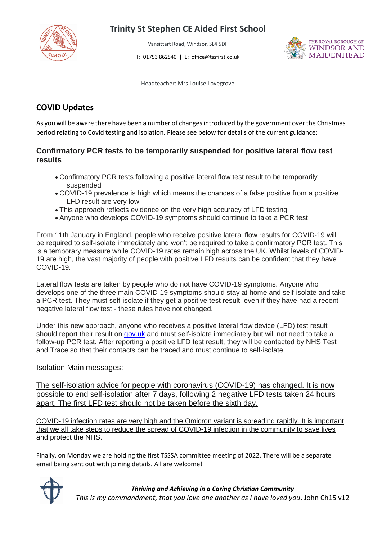

## **Trinity St Stephen CE Aided First School**

Vansittart Road, Windsor, SL4 5DF

T: 01753 862540 | E: office@tssfirst.co.uk



Headteacher: Mrs Louise Lovegrove

### **COVID Updates**

As you will be aware there have been a number of changes introduced by the government over the Christmas period relating to Covid testing and isolation. Please see below for details of the current guidance:

#### **Confirmatory PCR tests to be temporarily suspended for positive lateral flow test results**

- Confirmatory PCR tests following a positive lateral flow test result to be temporarily suspended
- COVID-19 prevalence is high which means the chances of a false positive from a positive LFD result are very low
- This approach reflects evidence on the very high accuracy of LFD testing
- Anyone who develops COVID-19 symptoms should continue to take a PCR test

From 11th January in England, people who receive positive lateral flow results for COVID-19 will be required to self-isolate immediately and won't be required to take a confirmatory PCR test. This is a temporary measure while COVID-19 rates remain high across the UK. Whilst levels of COVID-19 are high, the vast majority of people with positive LFD results can be confident that they have COVID-19.

Lateral flow tests are taken by people who do not have COVID-19 symptoms. Anyone who develops one of the three main COVID-19 symptoms should stay at home and self-isolate and take a PCR test. They must self-isolate if they get a positive test result, even if they have had a recent negative lateral flow test - these rules have not changed.

Under this new approach, anyone who receives a positive lateral flow device (LFD) test result should report their result on [gov.uk](https://eur03.safelinks.protection.outlook.com/?url=https%3A%2F%2Fwww.gov.uk%2Freport-covid19-result&data=04%7C01%7CRuth.Triyantoro%40dhsc.gov.uk%7C2c5c534092a14f28d8d908d9d06ac08f%7C61278c3091a84c318c1fef4de8973a1c%7C1%7C0%7C637769979171432038%7CUnknown%7CTWFpbGZsb3d8eyJWIjoiMC4wLjAwMDAiLCJQIjoiV2luMzIiLCJBTiI6Ik1haWwiLCJXVCI6Mn0%3D%7C3000&sdata=jQPOtNUUR6rvQ%2FKzF0kuraml06IF0XA0DRaTFSIhTGU%3D&reserved=0) and must self-isolate immediately but will not need to take a follow-up PCR test. After reporting a positive LFD test result, they will be contacted by NHS Test and Trace so that their contacts can be traced and must continue to self-isolate.

#### Isolation Main messages:

The self-isolation advice for people with coronavirus (COVID-19) has changed. It is now possible to end self-isolation after 7 days, following 2 negative LFD tests taken 24 hours apart. The first LFD test should not be taken before the sixth day.

COVID-19 infection rates are very high and the Omicron variant is spreading rapidly. It is important that we all take steps to reduce the spread of COVID-19 infection in the community to save lives and protect the NHS.

Finally, on Monday we are holding the first TSSSA committee meeting of 2022. There will be a separate email being sent out with joining details. All are welcome!



*Thriving and Achieving in a Caring Christian Community This is my commandment, that you love one another as I have loved you*. John Ch15 v12